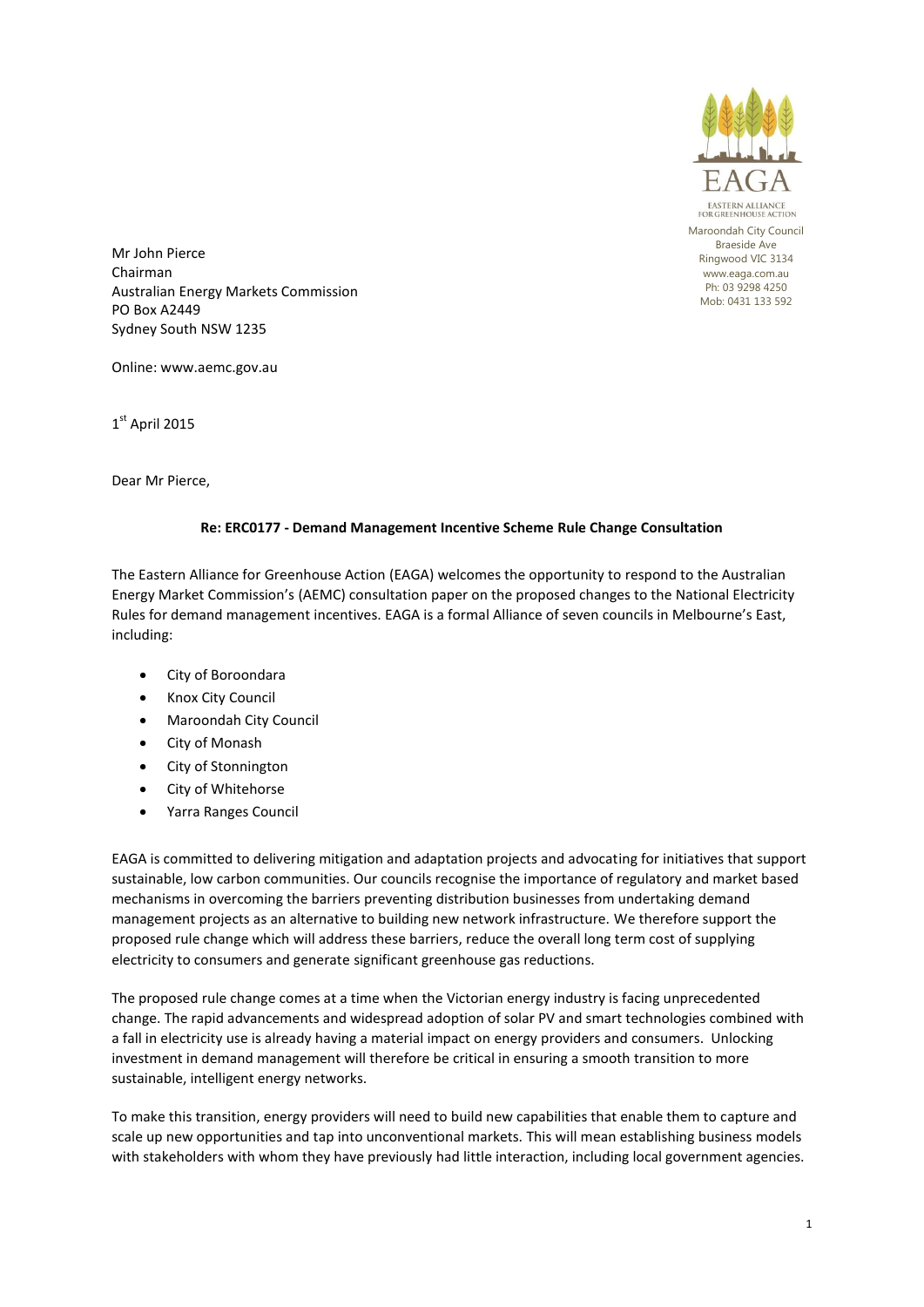

Maroondah City Council Braeside Ave Ringwood VIC 3134 www.eaga.com.au Ph: 03 9298 4250 Mob: 0431 133 592

Mr John Pierce Chairman Australian Energy Markets Commission PO Box A2449 Sydney South NSW 1235

Online: www.aemc.gov.au

1st April 2015

Dear Mr Pierce,

## **Re: ERC0177 - Demand Management Incentive Scheme Rule Change Consultation**

The Eastern Alliance for Greenhouse Action (EAGA) welcomes the opportunity to respond to the Australian Energy Market Commission's (AEMC) consultation paper on the proposed changes to the National Electricity Rules for demand management incentives. EAGA is a formal Alliance of seven councils in Melbourne's East, including:

- City of Boroondara
- Knox City Council
- Maroondah City Council
- City of Monash
- City of Stonnington
- City of Whitehorse
- Yarra Ranges Council

EAGA is committed to delivering mitigation and adaptation projects and advocating for initiatives that support sustainable, low carbon communities. Our councils recognise the importance of regulatory and market based mechanisms in overcoming the barriers preventing distribution businesses from undertaking demand management projects as an alternative to building new network infrastructure. We therefore support the proposed rule change which will address these barriers, reduce the overall long term cost of supplying electricity to consumers and generate significant greenhouse gas reductions.

The proposed rule change comes at a time when the Victorian energy industry is facing unprecedented change. The rapid advancements and widespread adoption of solar PV and smart technologies combined with a fall in electricity use is already having a material impact on energy providers and consumers. Unlocking investment in demand management will therefore be critical in ensuring a smooth transition to more sustainable, intelligent energy networks.

To make this transition, energy providers will need to build new capabilities that enable them to capture and scale up new opportunities and tap into unconventional markets. This will mean establishing business models with stakeholders with whom they have previously had little interaction, including local government agencies.